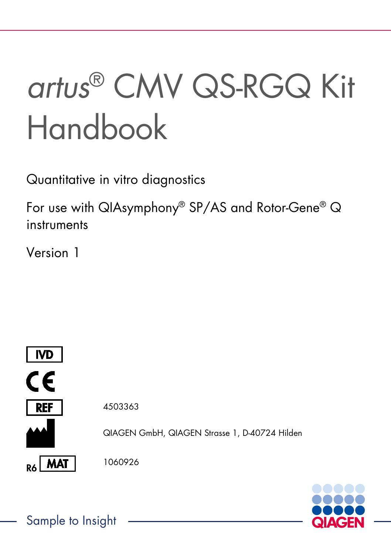# *artus*® CMV QS-RGQ Kit Handbook

Quantitative in vitro diagnostics

For use with QIAsymphony® SP/AS and Rotor-Gene® Q instruments

Version 1





Sample to Insight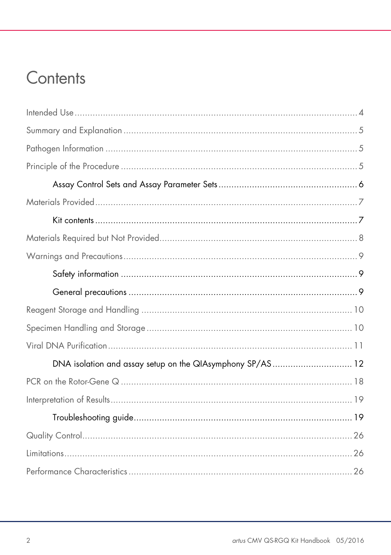# Contents

| DNA isolation and assay setup on the QIAsymphony SP/AS 12 |  |
|-----------------------------------------------------------|--|
|                                                           |  |
|                                                           |  |
|                                                           |  |
|                                                           |  |
|                                                           |  |
|                                                           |  |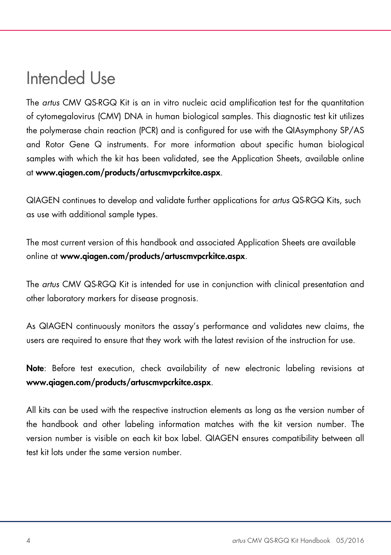### <span id="page-3-0"></span>Intended Use

The *artus* CMV QS-RGQ Kit is an in vitro nucleic acid amplification test for the quantitation of cytomegalovirus (CMV) DNA in human biological samples. This diagnostic test kit utilizes the polymerase chain reaction (PCR) and is configured for use with the QIAsymphony SP/AS and Rotor Gene Q instruments. For more information about specific human biological samples with which the kit has been validated, see the Application Sheets, available online at www.qiagen.com/products/artuscmvpcrkitce.aspx.

QIAGEN continues to develop and validate further applications for *artus* QS-RGQ Kits, such as use with additional sample types.

The most current version of this handbook and associated Application Sheets are available online at www.qiagen.com/products/artuscmvpcrkitce.aspx.

The *artus* CMV QS-RGQ Kit is intended for use in conjunction with clinical presentation and other laboratory markers for disease prognosis.

As QIAGEN continuously monitors the assay's performance and validates new claims, the users are required to ensure that they work with the latest revision of the instruction for use.

Note: Before test execution, check availability of new electronic labeling revisions at www.qiagen.com/products/artuscmvpcrkitce.aspx.

All kits can be used with the respective instruction elements as long as the version number of the handbook and other labeling information matches with the kit version number. The version number is visible on each kit box label. QIAGEN ensures compatibility between all test kit lots under the same version number.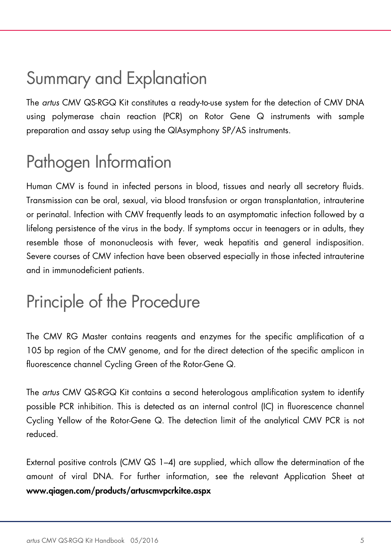# <span id="page-4-0"></span>Summary and Explanation

The *artus* CMV QS-RGQ Kit constitutes a ready-to-use system for the detection of CMV DNA using polymerase chain reaction (PCR) on Rotor Gene Q instruments with sample preparation and assay setup using the QIAsymphony SP/AS instruments.

# <span id="page-4-1"></span>Pathogen Information

Human CMV is found in infected persons in blood, tissues and nearly all secretory fluids. Transmission can be oral, sexual, via blood transfusion or organ transplantation, intrauterine or perinatal. Infection with CMV frequently leads to an asymptomatic infection followed by a lifelong persistence of the virus in the body. If symptoms occur in teenagers or in adults, they resemble those of mononucleosis with fever, weak hepatitis and general indisposition. Severe courses of CMV infection have been observed especially in those infected intrauterine and in immunodeficient patients.

# <span id="page-4-2"></span>Principle of the Procedure

The CMV RG Master contains reagents and enzymes for the specific amplification of a 105 bp region of the CMV genome, and for the direct detection of the specific amplicon in fluorescence channel Cycling Green of the Rotor-Gene Q.

The *artus* CMV QS-RGQ Kit contains a second heterologous amplification system to identify possible PCR inhibition. This is detected as an internal control (IC) in fluorescence channel Cycling Yellow of the Rotor-Gene Q. The detection limit of the analytical CMV PCR is not reduced.

External positive controls (CMV QS 1–4) are supplied, which allow the determination of the amount of viral DNA. For further information, see the relevant Application Sheet at www.qiagen.com/products/artuscmvpcrkitce.aspx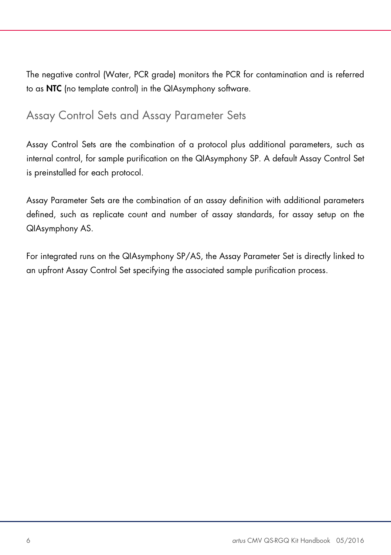The negative control (Water, PCR grade) monitors the PCR for contamination and is referred to as NTC (no template control) in the QIAsymphony software.

### <span id="page-5-0"></span>Assay Control Sets and Assay Parameter Sets

Assay Control Sets are the combination of a protocol plus additional parameters, such as internal control, for sample purification on the QIAsymphony SP. A default Assay Control Set is preinstalled for each protocol.

Assay Parameter Sets are the combination of an assay definition with additional parameters defined, such as replicate count and number of assay standards, for assay setup on the QIAsymphony AS.

For integrated runs on the QIAsymphony SP/AS, the Assay Parameter Set is directly linked to an upfront Assay Control Set specifying the associated sample purification process.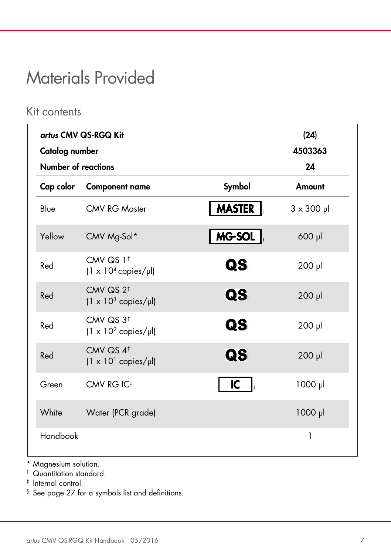# <span id="page-6-0"></span>Materials Provided

### <span id="page-6-1"></span>Kit contents

| artus CMV QS-RGQ Kit<br>Catalog number |                                                               | (24)<br>4503363 |                   |
|----------------------------------------|---------------------------------------------------------------|-----------------|-------------------|
| <b>Number of reactions</b>             |                                                               |                 | 24                |
| Cap color                              | <b>Component name</b>                                         | Symbol          | Amount            |
| Blue                                   | <b>CMV RG Master</b>                                          | <b>MASTER</b>   | $3 \times 300$ µl |
| Yellow                                 | CMV Mg-Sol*                                                   | MG-SOL          | 600 µl            |
| Red                                    | CMV QS $1†$<br>$(1 \times 10^4 \text{ copies/}\mu\text{I})$   | QS.             | $200$ $\mu$       |
| Red                                    | CMV $QS$ $2†$<br>$(1 \times 10^3 \text{ copies/}\mu\text{I})$ | QS.             | 200 µl            |
| Red                                    | CMV QS $3†$<br>$(1 \times 10^2 \text{ copies/}\mu\text{I})$   | QS              | 200 µl            |
| Red                                    | CMV $QS$ $4^{\dagger}$<br>$(1 \times 10^{1}$ copies/µl)       | QS.             | $200$ $\mu$       |
| Green                                  | $CMV$ RG IC <sup>‡</sup>                                      | IC              | 1000 µl           |
| White                                  | Water (PCR grade)                                             |                 | 1000 µl           |
| Handbook                               |                                                               |                 | 1                 |

\* Magnesium solution.

† Quantitation standard.

‡ Internal control.

§ See page [27](#page-26-0) for a symbols list and definitions.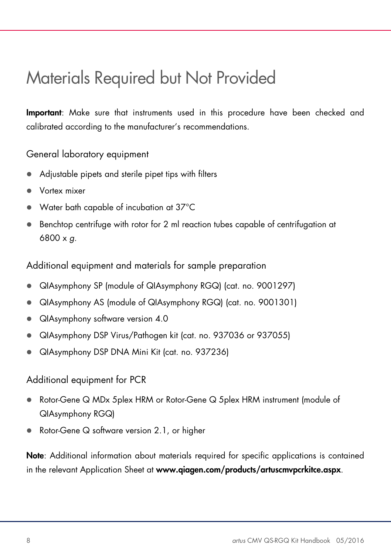# <span id="page-7-0"></span>Materials Required but Not Provided

Important: Make sure that instruments used in this procedure have been checked and calibrated according to the manufacturer's recommendations.

General laboratory equipment

- Adjustable pipets and sterile pipet tips with filters
- Vortex mixer
- Water bath capable of incubation at 37°C
- Benchtop centrifuge with rotor for 2 ml reaction tubes capable of centrifugation at 6800 x *g*.

Additional equipment and materials for sample preparation

- QIAsymphony SP (module of QIAsymphony RGQ) (cat. no. 9001297)
- QIAsymphony AS (module of QIAsymphony RGQ) (cat. no. 9001301)
- QIAsymphony software version 4.0
- QIAsymphony DSP Virus/Pathogen kit (cat. no. 937036 or 937055)
- QIAsymphony DSP DNA Mini Kit (cat. no. 937236)

Additional equipment for PCR

- Rotor-Gene Q MDx 5plex HRM or Rotor-Gene Q 5plex HRM instrument (module of QIAsymphony RGQ)
- Rotor-Gene Q software version 2.1, or higher

Note: Additional information about materials required for specific applications is contained in the relevant Application Sheet at www.qiagen.com/products/artuscmvpcrkitce.aspx.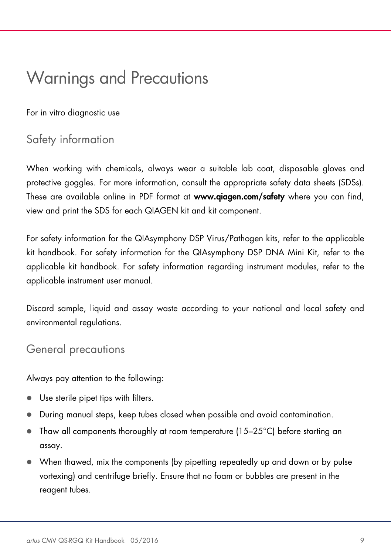# <span id="page-8-0"></span>Warnings and Precautions

For in vitro diagnostic use

### <span id="page-8-1"></span>Safety information

When working with chemicals, always wear a suitable lab coat, disposable gloves and protective goggles. For more information, consult the appropriate safety data sheets (SDSs). These are available online in PDF format at [www.qiagen.com/safety](http://www.qiagen.com/safety) where you can find, view and print the SDS for each QIAGEN kit and kit component.

For safety information for the QIAsymphony DSP Virus/Pathogen kits, refer to the applicable kit handbook. For safety information for the QIAsymphony DSP DNA Mini Kit, refer to the applicable kit handbook. For safety information regarding instrument modules, refer to the applicable instrument user manual.

Discard sample, liquid and assay waste according to your national and local safety and environmental regulations.

#### <span id="page-8-2"></span>General precautions

Always pay attention to the following:

- Use sterile pipet tips with filters.
- During manual steps, keep tubes closed when possible and avoid contamination.
- Thaw all components thoroughly at room temperature (15–25°C) before starting an assay.
- When thawed, mix the components (by pipetting repeatedly up and down or by pulse vortexing) and centrifuge briefly. Ensure that no foam or bubbles are present in the reagent tubes.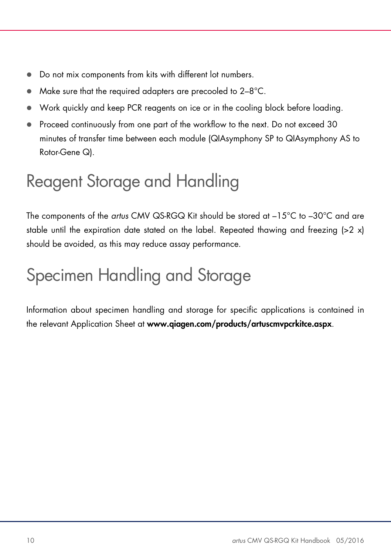- Do not mix components from kits with different lot numbers.
- Make sure that the required adapters are precooled to 2-8°C.
- Work quickly and keep PCR reagents on ice or in the cooling block before loading.
- Proceed continuously from one part of the workflow to the next. Do not exceed 30 minutes of transfer time between each module (QIAsymphony SP to QIAsymphony AS to Rotor-Gene Q).

# <span id="page-9-0"></span>Reagent Storage and Handling

The components of the *artus* CMV QS-RGQ Kit should be stored at –15°C to –30°C and are stable until the expiration date stated on the label. Repeated thawing and freezing (>2 x) should be avoided, as this may reduce assay performance.

# <span id="page-9-1"></span>Specimen Handling and Storage

Information about specimen handling and storage for specific applications is contained in the relevant Application Sheet at www.qiagen.com/products/artuscmvpcrkitce.aspx.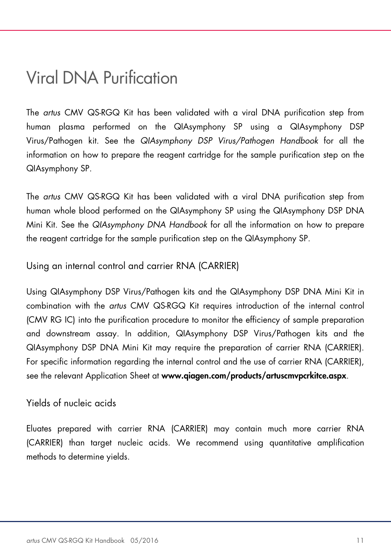### <span id="page-10-0"></span>Viral DNA Purification

The *artus* CMV QS-RGQ Kit has been validated with a viral DNA purification step from human plasma performed on the QIAsymphony SP using a QIAsymphony DSP Virus/Pathogen kit. See the *QIAsymphony DSP Virus/Pathogen Handbook* for all the information on how to prepare the reagent cartridge for the sample purification step on the QIAsymphony SP.

The *artus* CMV QS-RGQ Kit has been validated with a viral DNA purification step from human whole blood performed on the QIAsymphony SP using the QIAsymphony DSP DNA Mini Kit. See the *QIAsymphony DNA Handbook* for all the information on how to prepare the reagent cartridge for the sample purification step on the QIAsymphony SP.

Using an internal control and carrier RNA (CARRIER)

Using QIAsymphony DSP Virus/Pathogen kits and the QIAsymphony DSP DNA Mini Kit in combination with the *artus* CMV QS-RGQ Kit requires introduction of the internal control (CMV RG IC) into the purification procedure to monitor the efficiency of sample preparation and downstream assay. In addition, QIAsymphony DSP Virus/Pathogen kits and the QIAsymphony DSP DNA Mini Kit may require the preparation of carrier RNA (CARRIER). For specific information regarding the internal control and the use of carrier RNA (CARRIER), see the relevant Application Sheet at [www.qiagen.com/products/artuscmvpcrkitce.aspx](http://www.qiagen.com/products/artuscmvpcrkitce.aspx).

#### Yields of nucleic acids

Eluates prepared with carrier RNA (CARRIER) may contain much more carrier RNA (CARRIER) than target nucleic acids. We recommend using quantitative amplification methods to determine yields.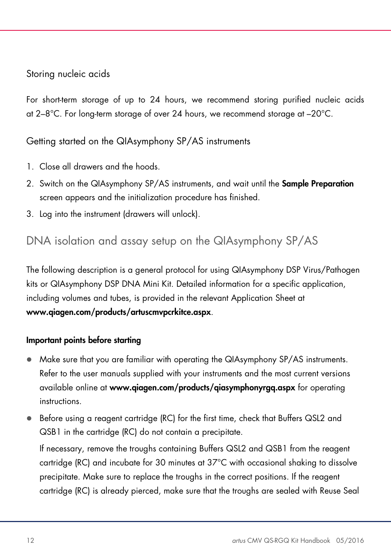#### Storing nucleic acids

For short-term storage of up to 24 hours, we recommend storing purified nucleic acids at 2–8°C. For long-term storage of over 24 hours, we recommend storage at –20°C.

#### Getting started on the QIAsymphony SP/AS instruments

- 1. Close all drawers and the hoods.
- 2. Switch on the QIAsymphony SP/AS instruments, and wait until the **Sample Preparation** screen appears and the initialization procedure has finished.
- 3. Log into the instrument (drawers will unlock).

### <span id="page-11-0"></span>DNA isolation and assay setup on the QIAsymphony SP/AS

The following description is a general protocol for using QIAsymphony DSP Virus/Pathogen kits or QIAsymphony DSP DNA Mini Kit. Detailed information for a specific application, including volumes and tubes, is provided in the relevant Application Sheet at www.qiagen.com/products/artuscmvpcrkitce.aspx.

#### Important points before starting

- Make sure that you are familiar with operating the QIAsymphony SP/AS instruments. Refer to the user manuals supplied with your instruments and the most current versions available online at www.qiagen.com/products/qiasymphonyrgq.aspx for operating instructions.
- Before using a reagent cartridge (RC) for the first time, check that Buffers QSL2 and QSB1 in the cartridge (RC) do not contain a precipitate.

If necessary, remove the troughs containing Buffers QSL2 and QSB1 from the reagent cartridge (RC) and incubate for 30 minutes at 37°C with occasional shaking to dissolve precipitate. Make sure to replace the troughs in the correct positions. If the reagent cartridge (RC) is already pierced, make sure that the troughs are sealed with Reuse Seal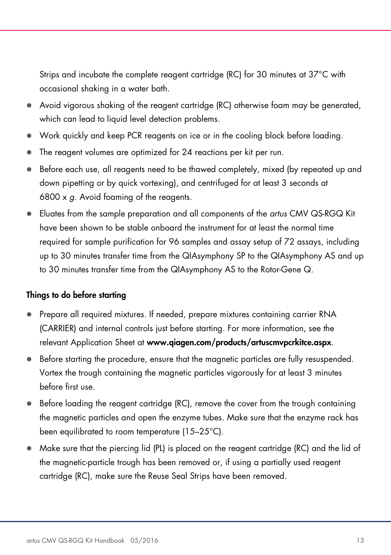Strips and incubate the complete reagent cartridge (RC) for 30 minutes at 37°C with occasional shaking in a water bath.

- Avoid vigorous shaking of the reagent cartridge (RC) otherwise foam may be generated, which can lead to liquid level detection problems.
- Work quickly and keep PCR reagents on ice or in the cooling block before loading.
- The reagent volumes are optimized for 24 reactions per kit per run.
- Before each use, all reagents need to be thawed completely, mixed (by repeated up and down pipetting or by quick vortexing), and centrifuged for at least 3 seconds at 6800 x *g*. Avoid foaming of the reagents.
- Eluates from the sample preparation and all components of the *artus* CMV QS-RGQ Kit have been shown to be stable onboard the instrument for at least the normal time required for sample purification for 96 samples and assay setup of 72 assays, including up to 30 minutes transfer time from the QIAsymphony SP to the QIAsymphony AS and up to 30 minutes transfer time from the QIAsymphony AS to the Rotor-Gene Q.

#### Things to do before starting

- Prepare all required mixtures. If needed, prepare mixtures containing carrier RNA (CARRIER) and internal controls just before starting. For more information, see the relevant Application Sheet at www.giagen.com/products/artuscmvpcrkitce.aspx.
- Before starting the procedure, ensure that the magnetic particles are fully resuspended. Vortex the trough containing the magnetic particles vigorously for at least 3 minutes before first use.
- Before loading the reagent cartridge (RC), remove the cover from the trough containing the magnetic particles and open the enzyme tubes. Make sure that the enzyme rack has been equilibrated to room temperature (15–25°C).
- Make sure that the piercing lid (PL) is placed on the reagent cartridge (RC) and the lid of the magnetic-particle trough has been removed or, if using a partially used reagent cartridge (RC), make sure the Reuse Seal Strips have been removed.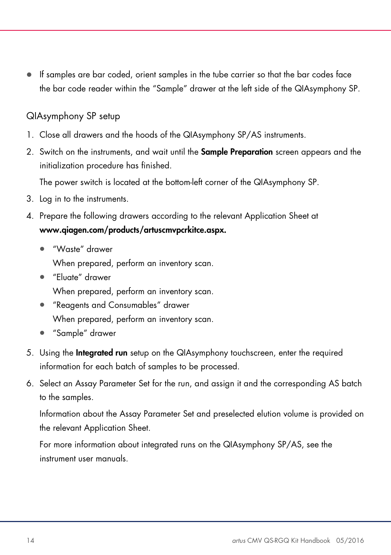If samples are bar coded, orient samples in the tube carrier so that the bar codes face the bar code reader within the "Sample" drawer at the left side of the QIAsymphony SP.

#### QIAsymphony SP setup

- 1. Close all drawers and the hoods of the QIAsymphony SP/AS instruments.
- 2. Switch on the instruments, and wait until the **Sample Preparation** screen appears and the initialization procedure has finished.

The power switch is located at the bottom-left corner of the QIAsymphony SP.

- 3. Log in to the instruments.
- 4. Prepare the following drawers according to the relevant Application Sheet at www.qiagen.com/products/artuscmvpcrkitce.aspx.
	- "Waste" drawer When prepared, perform an inventory scan.
	- "Eluate" drawer When prepared, perform an inventory scan.
	- "Reagents and Consumables" drawer When prepared, perform an inventory scan.
	- "Sample" drawer
- 5. Using the **Integrated run** setup on the QIAsymphony touchscreen, enter the required information for each batch of samples to be processed.
- 6. Select an Assay Parameter Set for the run, and assign it and the corresponding AS batch to the samples.

Information about the Assay Parameter Set and preselected elution volume is provided on the relevant Application Sheet.

For more information about integrated runs on the QIAsymphony SP/AS, see the instrument user manuals.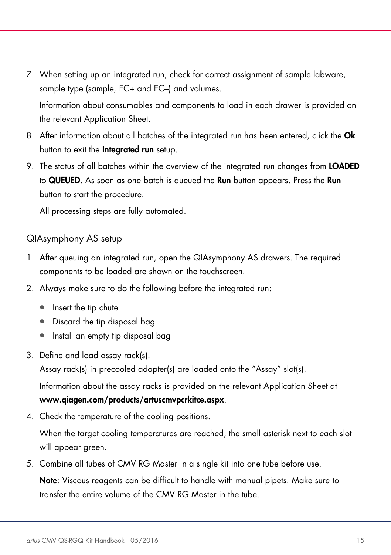7. When setting up an integrated run, check for correct assignment of sample labware, sample type (sample, EC+ and EC–) and volumes.

Information about consumables and components to load in each drawer is provided on the relevant Application Sheet.

- 8. After information about all batches of the integrated run has been entered, click the **Ok** button to exit the **Integrated run** setup.
- 9. The status of all batches within the overview of the integrated run changes from LOADED to QUEUED. As soon as one batch is aueued the Run button appears. Press the Run button to start the procedure.

All processing steps are fully automated.

#### QIAsymphony AS setup

- 1. After queuing an integrated run, open the QIAsymphony AS drawers. The required components to be loaded are shown on the touchscreen.
- 2. Always make sure to do the following before the integrated run:
	- Insert the tip chute
	- Discard the tip disposal bag
	- Install an empty tip disposal bag
- 3. Define and load assay rack(s).

Assay rack(s) in precooled adapter(s) are loaded onto the "Assay" slot(s).

Information about the assay racks is provided on the relevant Application Sheet at www.qiagen.com/products/artuscmvpcrkitce.aspx.

4. Check the temperature of the cooling positions.

When the target cooling temperatures are reached, the small asterisk next to each slot will appear green.

5. Combine all tubes of CMV RG Master in a single kit into one tube before use.

Note: Viscous reagents can be difficult to handle with manual pipets. Make sure to transfer the entire volume of the CMV RG Master in the tube.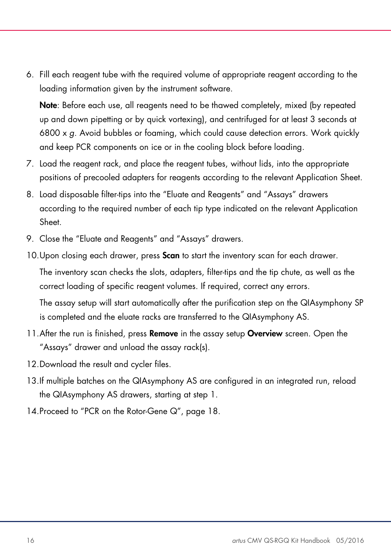6. Fill each reagent tube with the required volume of appropriate reagent according to the loading information given by the instrument software.

Note: Before each use, all reagents need to be thawed completely, mixed (by repeated up and down pipetting or by quick vortexing), and centrifuged for at least 3 seconds at 6800 x *g*. Avoid bubbles or foaming, which could cause detection errors. Work quickly and keep PCR components on ice or in the cooling block before loading.

- 7. Load the reagent rack, and place the reagent tubes, without lids, into the appropriate positions of precooled adapters for reagents according to the relevant Application Sheet.
- 8. Load disposable filter-tips into the "Eluate and Reagents" and "Assays" drawers according to the required number of each tip type indicated on the relevant Application Sheet.
- 9. Close the "Eluate and Reagents" and "Assays" drawers.
- 10. Upon closing each drawer, press **Scan** to start the inventory scan for each drawer.

The inventory scan checks the slots, adapters, filter-tips and the tip chute, as well as the correct loading of specific reagent volumes. If required, correct any errors.

The assay setup will start automatically after the purification step on the QIAsymphony SP is completed and the eluate racks are transferred to the QIAsymphony AS.

- 11. After the run is finished, press Remove in the assay setup Overview screen. Open the "Assays" drawer and unload the assay rack(s).
- 12.Download the result and cycler files.
- 13.If multiple batches on the QIAsymphony AS are configured in an integrated run, reload the QIAsymphony AS drawers, starting at step 1.
- 14.Proceed to ["PCR on the Rotor-Gene Q"](#page-17-0), page [18.](#page-17-0)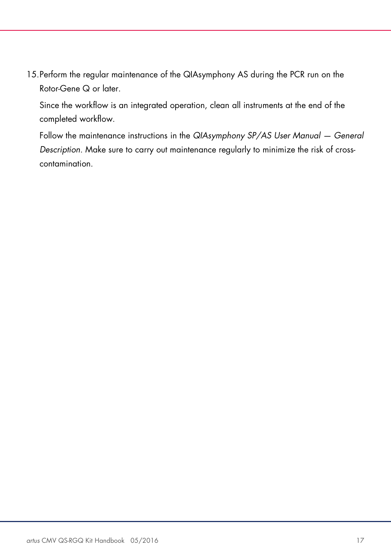15.Perform the regular maintenance of the QIAsymphony AS during the PCR run on the Rotor-Gene Q or later.

Since the workflow is an integrated operation, clean all instruments at the end of the completed workflow.

Follow the maintenance instructions in the *QIAsymphony SP/AS User Manual — General Description*. Make sure to carry out maintenance regularly to minimize the risk of crosscontamination.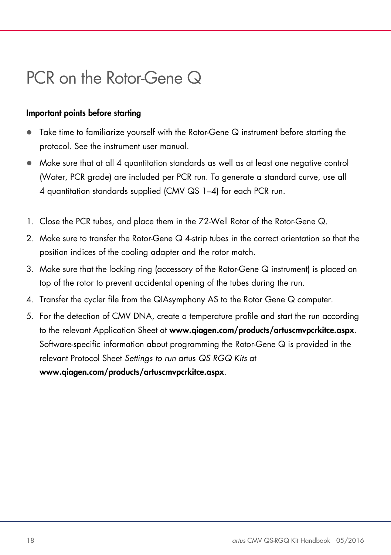### <span id="page-17-0"></span>PCR on the Rotor-Gene Q

#### Important points before starting

- Take time to familiarize yourself with the Rotor-Gene Q instrument before starting the protocol. See the instrument user manual.
- Make sure that at all 4 quantitation standards as well as at least one negative control (Water, PCR grade) are included per PCR run. To generate a standard curve, use all 4 quantitation standards supplied (CMV QS 1–4) for each PCR run.
- 1. Close the PCR tubes, and place them in the 72-Well Rotor of the Rotor-Gene Q.
- 2. Make sure to transfer the Rotor-Gene Q 4-strip tubes in the correct orientation so that the position indices of the cooling adapter and the rotor match.
- 3. Make sure that the locking ring (accessory of the Rotor-Gene Q instrument) is placed on top of the rotor to prevent accidental opening of the tubes during the run.
- 4. Transfer the cycler file from the QIAsymphony AS to the Rotor Gene Q computer.
- 5. For the detection of CMV DNA, create a temperature profile and start the run according to the relevant Application Sheet at www.qiagen.com/products/artuscmvpcrkitce.aspx. Software-specific information about programming the Rotor-Gene Q is provided in the relevant Protocol Sheet *Settings to run* artus *QS RGQ Kits* at www.qiagen.com/products/artuscmvpcrkitce.aspx.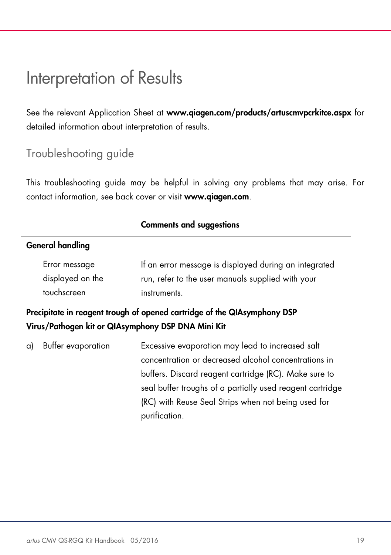### <span id="page-18-0"></span>Interpretation of Results

See the relevant Application Sheet at www.qiagen.com/products/artuscmvpcrkitce.aspx for detailed information about interpretation of results.

### <span id="page-18-1"></span>Troubleshooting guide

This troubleshooting guide may be helpful in solving any problems that may arise. For contact information, see back cover or visit [www.qiagen.com](http://www.qiagen.com/).

|    |                                                                                                                                | Comments and suggestions                                                                                                                                                                                                                                                                               |  |
|----|--------------------------------------------------------------------------------------------------------------------------------|--------------------------------------------------------------------------------------------------------------------------------------------------------------------------------------------------------------------------------------------------------------------------------------------------------|--|
|    | <b>General handling</b>                                                                                                        |                                                                                                                                                                                                                                                                                                        |  |
|    | Error message<br>displayed on the<br>touchscreen                                                                               | If an error message is displayed during an integrated<br>run, refer to the user manuals supplied with your<br>instruments.                                                                                                                                                                             |  |
|    | Precipitate in reagent trough of opened cartridge of the QIAsymphony DSP<br>Virus/Pathogen kit or QIAsymphony DSP DNA Mini Kit |                                                                                                                                                                                                                                                                                                        |  |
| a) | Buffer evaporation                                                                                                             | Excessive evaporation may lead to increased salt<br>concentration or decreased alcohol concentrations in<br>buffers. Discard reagent cartridge (RC). Make sure to<br>seal buffer troughs of a partially used reagent cartridge<br>(RC) with Reuse Seal Strips when not being used for<br>purification. |  |

#### Comments and suggestions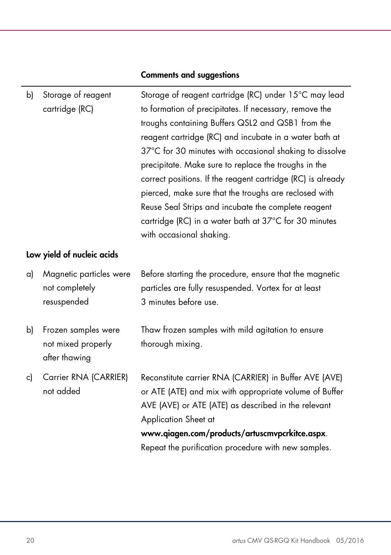<span id="page-19-0"></span>

| b) | Storage of reagent<br>cartridge (RC)                       | Storage of reagent cartridge (RC) under 15°C may lead<br>to formation of precipitates. If necessary, remove the<br>troughs containing Buffers QSL2 and QSB1 from the<br>reagent cartridge (RC) and incubate in a water bath at<br>37°C for 30 minutes with occasional shaking to dissolve<br>precipitate. Make sure to replace the troughs in the<br>correct positions. If the reagent cartridge (RC) is already<br>pierced, make sure that the troughs are reclosed with<br>Reuse Seal Strips and incubate the complete reagent<br>cartridge (RC) in a water bath at 37°C for 30 minutes<br>with occasional shaking. |
|----|------------------------------------------------------------|-----------------------------------------------------------------------------------------------------------------------------------------------------------------------------------------------------------------------------------------------------------------------------------------------------------------------------------------------------------------------------------------------------------------------------------------------------------------------------------------------------------------------------------------------------------------------------------------------------------------------|
|    | Low yield of nucleic acids                                 |                                                                                                                                                                                                                                                                                                                                                                                                                                                                                                                                                                                                                       |
| a) | Magnetic particles were<br>not completely<br>resuspended   | Before starting the procedure, ensure that the magnetic<br>particles are fully resuspended. Vortex for at least<br>3 minutes before use.                                                                                                                                                                                                                                                                                                                                                                                                                                                                              |
| b) | Frozen samples were<br>not mixed properly<br>after thawing | Thaw frozen samples with mild agitation to ensure<br>thorough mixing.                                                                                                                                                                                                                                                                                                                                                                                                                                                                                                                                                 |
| c) | Carrier RNA (CARRIER)<br>not added                         | Reconstitute carrier RNA (CARRIER) in Buffer AVE (AVE)<br>or ATE (ATE) and mix with appropriate volume of Buffer<br>AVE (AVE) or ATE (ATE) as described in the relevant<br>Application Sheet at<br>www.qiagen.com/products/artuscmvpcrkitce.aspx.<br>Repeat the purification procedure with new samples.                                                                                                                                                                                                                                                                                                              |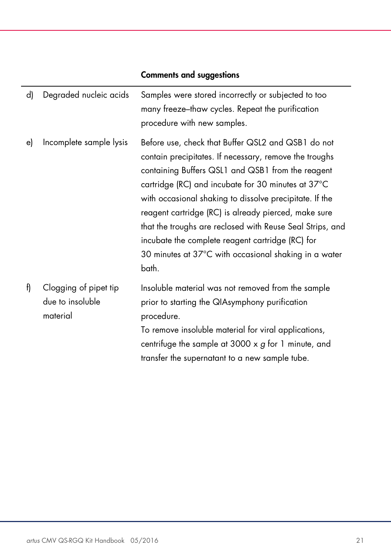| d) | Degraded nucleic acids                                | Samples were stored incorrectly or subjected to too<br>many freeze-thaw cycles. Repeat the purification<br>procedure with new samples.                                                                                                                                                                                                                                                                                                                                                                                        |
|----|-------------------------------------------------------|-------------------------------------------------------------------------------------------------------------------------------------------------------------------------------------------------------------------------------------------------------------------------------------------------------------------------------------------------------------------------------------------------------------------------------------------------------------------------------------------------------------------------------|
| e) | Incomplete sample lysis                               | Before use, check that Buffer QSL2 and QSB1 do not<br>contain precipitates. If necessary, remove the troughs<br>containing Buffers QSL1 and QSB1 from the reagent<br>cartridge (RC) and incubate for 30 minutes at 37°C<br>with occasional shaking to dissolve precipitate. If the<br>reagent cartridge (RC) is already pierced, make sure<br>that the troughs are reclosed with Reuse Seal Strips, and<br>incubate the complete reagent cartridge (RC) for<br>30 minutes at 37°C with occasional shaking in a water<br>bath. |
| f) | Clogging of pipet tip<br>due to insoluble<br>material | Insoluble material was not removed from the sample<br>prior to starting the QIAsymphony purification<br>procedure.<br>To remove insoluble material for viral applications,<br>centrifuge the sample at 3000 $\times$ g for 1 minute, and<br>transfer the supernatant to a new sample tube.                                                                                                                                                                                                                                    |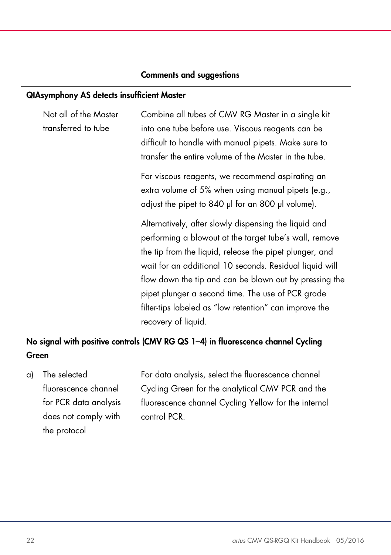#### QIAsymphony AS detects insufficient Master

| Not all of the Master<br>transferred to tube | Combine all tubes of CMV RG Master in a single kit<br>into one tube before use. Viscous reagents can be<br>difficult to handle with manual pipets. Make sure to<br>transfer the entire volume of the Master in the tube.                                                                                                                                                                                                              |
|----------------------------------------------|---------------------------------------------------------------------------------------------------------------------------------------------------------------------------------------------------------------------------------------------------------------------------------------------------------------------------------------------------------------------------------------------------------------------------------------|
|                                              | For viscous reagents, we recommend aspirating an<br>extra volume of 5% when using manual pipets (e.g.,<br>adjust the pipet to 840 µl for an 800 µl volume).                                                                                                                                                                                                                                                                           |
|                                              | Alternatively, after slowly dispensing the liquid and<br>performing a blowout at the target tube's wall, remove<br>the tip from the liquid, release the pipet plunger, and<br>wait for an additional 10 seconds. Residual liquid will<br>flow down the tip and can be blown out by pressing the<br>pipet plunger a second time. The use of PCR grade<br>filter-tips labeled as "low retention" can improve the<br>recovery of liquid. |

#### No signal with positive controls (CMV RG QS 1–4) in fluorescence channel Cycling Green

a) The selected fluorescence channel for PCR data analysis does not comply with the protocol

For data analysis, select the fluorescence channel Cycling Green for the analytical CMV PCR and the fluorescence channel Cycling Yellow for the internal control PCR.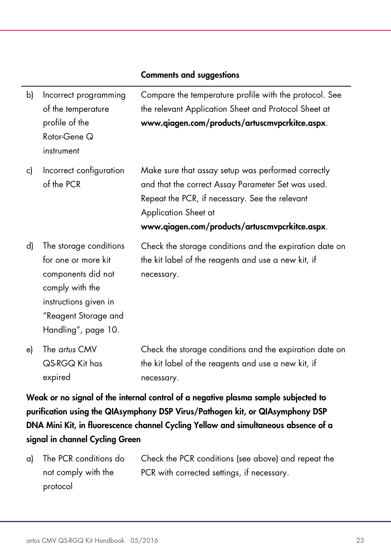| b) | Incorrect programming<br>of the temperature<br>profile of the<br>Rotor-Gene Q<br>instrument                                                                    | Compare the temperature profile with the protocol. See<br>the relevant Application Sheet and Protocol Sheet at<br>www.qiagen.com/products/artuscmvpcrkitce.aspx.                                                                     |
|----|----------------------------------------------------------------------------------------------------------------------------------------------------------------|--------------------------------------------------------------------------------------------------------------------------------------------------------------------------------------------------------------------------------------|
| c) | Incorrect configuration<br>of the PCR                                                                                                                          | Make sure that assay setup was performed correctly<br>and that the correct Assay Parameter Set was used.<br>Repeat the PCR, if necessary. See the relevant<br>Application Sheet at<br>www.qiagen.com/products/artuscmvpcrkitce.aspx. |
| d) | The storage conditions<br>for one or more kit<br>components did not<br>comply with the<br>instructions given in<br>"Reagent Storage and<br>Handling", page 10. | Check the storage conditions and the expiration date on<br>the kit label of the reagents and use a new kit, if<br>necessary.                                                                                                         |
| e) | The artus CMV<br>QS-RGQ Kit has<br>expired                                                                                                                     | Check the storage conditions and the expiration date on<br>the kit label of the reagents and use a new kit, if<br>necessary.                                                                                                         |

Weak or no signal of the internal control of a negative plasma sample subjected to purification using the QIAsymphony DSP Virus/Pathogen kit, or QIAsymphony DSP DNA Mini Kit, in fluorescence channel Cycling Yellow and simultaneous absence of a signal in channel Cycling Green

| a) The PCR conditions do | Check the PCR conditions (see above) and repeat the |
|--------------------------|-----------------------------------------------------|
| not comply with the      | PCR with corrected settings, if necessary.          |
| protocol                 |                                                     |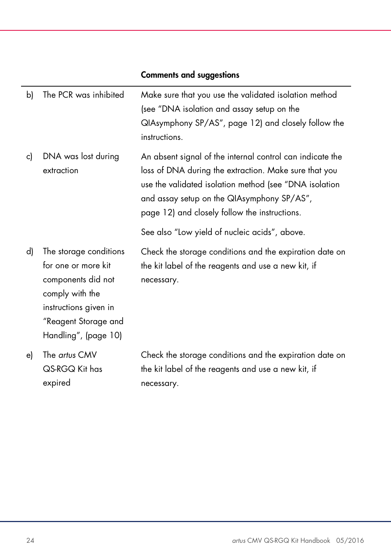|    |                                                                                                                                                                 | รดแแนะแเว นแน วงนูนูธวแดนว                                                                                                                                                                                                                                                  |
|----|-----------------------------------------------------------------------------------------------------------------------------------------------------------------|-----------------------------------------------------------------------------------------------------------------------------------------------------------------------------------------------------------------------------------------------------------------------------|
| b) | The PCR was inhibited                                                                                                                                           | Make sure that you use the validated isolation method<br>(see "DNA isolation and assay setup on the<br>QIAsymphony SP/AS", page 12) and closely follow the<br>instructions.                                                                                                 |
| c) | DNA was lost during<br>extraction                                                                                                                               | An absent signal of the internal control can indicate the<br>loss of DNA during the extraction. Make sure that you<br>use the validated isolation method (see "DNA isolation<br>and assay setup on the QIAsymphony SP/AS",<br>page 12) and closely follow the instructions. |
|    |                                                                                                                                                                 | See also "Low yield of nucleic acids", above.                                                                                                                                                                                                                               |
| d) | The storage conditions<br>for one or more kit<br>components did not<br>comply with the<br>instructions given in<br>"Reagent Storage and<br>Handling", (page 10) | Check the storage conditions and the expiration date on<br>the kit label of the reagents and use a new kit, if<br>necessary.                                                                                                                                                |
| e) | The artus CMV<br>QS-RGQ Kit has                                                                                                                                 | Check the storage conditions and the expiration date on<br>the kit label of the reagents and use a new kit, if                                                                                                                                                              |

necessary.

#### Comments and suggestions

expired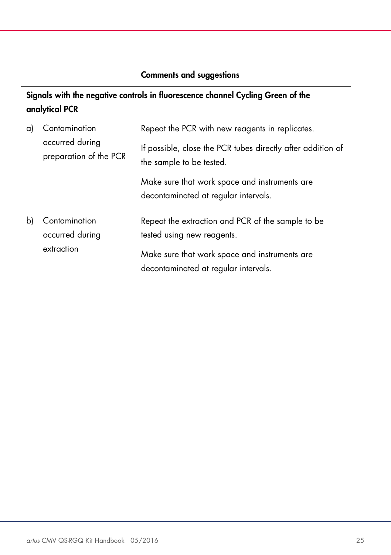### Signals with the negative controls in fluorescence channel Cycling Green of the analytical PCR

| a) | Contamination<br>occurred during<br>preparation of the PCR | Repeat the PCR with new reagents in replicates.                                                                                                                          |  |
|----|------------------------------------------------------------|--------------------------------------------------------------------------------------------------------------------------------------------------------------------------|--|
|    |                                                            | If possible, close the PCR tubes directly after addition of<br>the sample to be tested.                                                                                  |  |
|    |                                                            | Make sure that work space and instruments are<br>decontaminated at regular intervals.                                                                                    |  |
| b) | Contamination<br>occurred during<br>extraction             | Repeat the extraction and PCR of the sample to be<br>tested using new reagents.<br>Make sure that work space and instruments are<br>decontaminated at regular intervals. |  |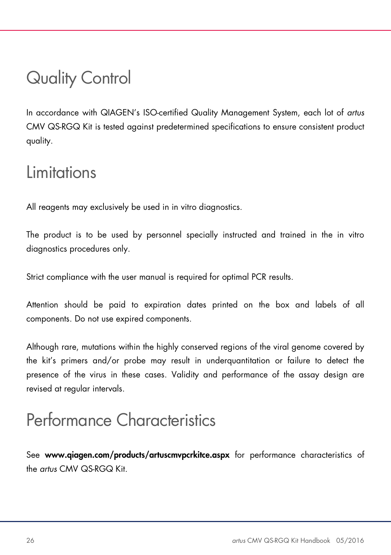# <span id="page-25-0"></span>Quality Control

In accordance with QIAGEN's ISO-certified Quality Management System, each lot of *artus* CMV QS-RGQ Kit is tested against predetermined specifications to ensure consistent product quality.

### <span id="page-25-1"></span>Limitations

All reagents may exclusively be used in in vitro diagnostics.

The product is to be used by personnel specially instructed and trained in the in vitro diagnostics procedures only.

Strict compliance with the user manual is required for optimal PCR results.

Attention should be paid to expiration dates printed on the box and labels of all components. Do not use expired components.

Although rare, mutations within the highly conserved regions of the viral genome covered by the kit's primers and/or probe may result in underquantitation or failure to detect the presence of the virus in these cases. Validity and performance of the assay design are revised at regular intervals.

# <span id="page-25-2"></span>Performance Characteristics

See www.qiagen.com/products/artuscmvpcrkitce.aspx for performance characteristics of the *artus* CMV QS-RGQ Kit.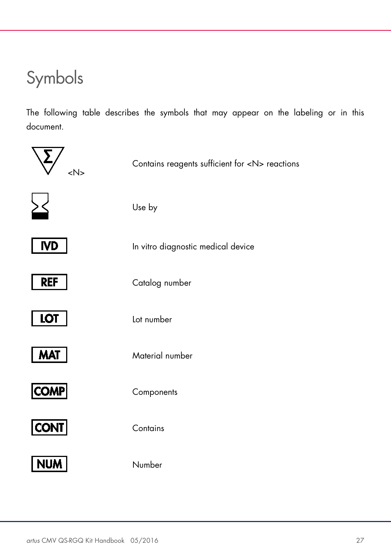# <span id="page-26-0"></span>Symbols

The following table describes the symbols that may appear on the labeling or in this document.

| $<\mathsf{N}>$ | Contains reagents sufficient for <n> reactions</n> |
|----------------|----------------------------------------------------|
|                | Use by                                             |
| <b>IVD</b>     | In vitro diagnostic medical device                 |
| <b>REF</b>     | Catalog number                                     |
| <b>LOT</b>     | Lot number                                         |
| <b>MAT</b>     | Material number                                    |
| <b>COMP</b>    | Components                                         |
| <b>CONT</b>    | Contains                                           |
| <b>NUM</b>     | Number                                             |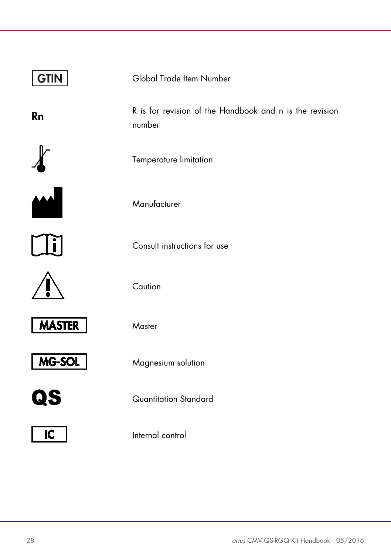| <b>GTIN</b> |  |
|-------------|--|
| Rn          |  |
|             |  |

Global Trade Item Number

R is for revision of the Handbook and n is the revision number

Temperature limitation



Manufacturer



Consult instructions for use



**Caution** 



Master

MG-SOL

QS

 $IC$ 

Quantitation Standard

Magnesium solution

Internal control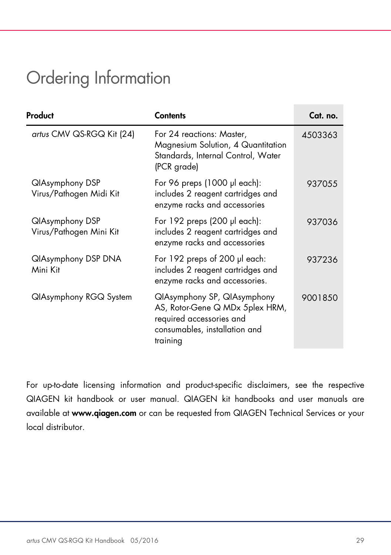### <span id="page-28-0"></span>Ordering Information

| Product                                           | Contents                                                                                                                                | Cat. no. |
|---------------------------------------------------|-----------------------------------------------------------------------------------------------------------------------------------------|----------|
| artus CMV QS-RGQ Kit (24)                         | For 24 reactions: Master,<br>Magnesium Solution, 4 Quantitation<br>Standards, Internal Control, Water<br>(PCR grade)                    | 4503363  |
| QIAsymphony DSP<br>Virus/Pathogen Midi Kit        | For 96 preps $(1000 \mu \epsilon)$ each):<br>includes 2 reagent cartridges and<br>enzyme racks and accessories                          | 937055   |
| <b>QIAsymphony DSP</b><br>Virus/Pathogen Mini Kit | For $192$ preps (200 $\mu$ each):<br>includes 2 reagent cartridges and<br>enzyme racks and accessories                                  | 937036   |
| QIAsymphony DSP DNA<br>Mini Kit                   | For 192 preps of 200 µl each:<br>includes 2 reagent cartridges and<br>enzyme racks and accessories.                                     | 937236   |
| QIAsymphony RGQ System                            | QIAsymphony SP, QIAsymphony<br>AS, Rotor-Gene Q MDx 5plex HRM,<br>required accessories and<br>consumables, installation and<br>training | 9001850  |

For up-to-date licensing information and product-specific disclaimers, see the respective QIAGEN kit handbook or user manual. QIAGEN kit handbooks and user manuals are available at www.qiagen.com or can be requested from QIAGEN Technical Services or your local distributor.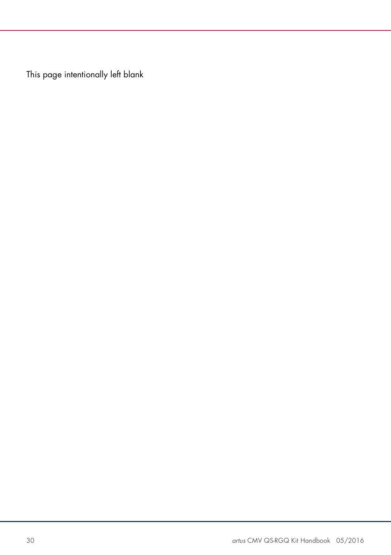This page intentionally left blank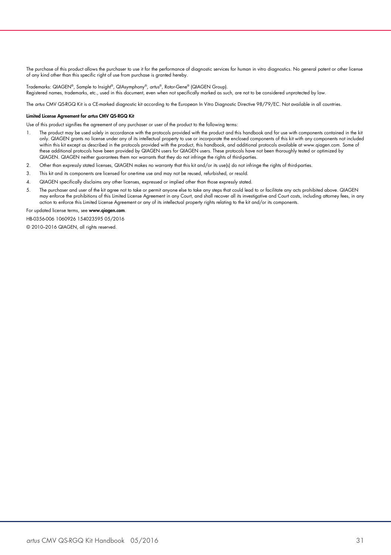The purchase of this product allows the purchaser to use it for the performance of diagnostic services for human in vitro diagnostics. No general patent or other license of any kind other than this specific right of use from purchase is granted hereby.

Trademarks: QIAGEN®, Sample to Insight®, QIAsymphony®, *artus*®, Rotor-Gene® (QIAGEN Group). Registered names, trademarks, etc., used in this document, even when not specifically marked as such, are not to be considered unprotected by law.

The artus CMV QS-RGQ Kit is a CE-marked diagnostic kit according to the European In Vitro Diagnostic Directive 98/79/EC. Not available in all countries.

#### Limited License Agreement for *artus* CMV QS-RGQ Kit

Use of this product signifies the agreement of any purchaser or user of the product to the following terms:

- 1. The product may be used solely in accordance with the protocols provided with the product and this handbook and for use with components contained in the kit only. QIAGEN grants no license under any of its intellectual property to use or incorporate the enclosed components of this kit with any components not included within this kit except as described in the protocols provided with the product, this handbook, and additional protocols available at www.qiagen.com. Some ot<br>these additional protocols have been provided by QIAGEN users for QIAGEN. QIAGEN neither guarantees them nor warrants that they do not infringe the rights of third-parties.
- 2. Other than expressly stated licenses, QIAGEN makes no warranty that this kit and/or its use(s) do not infringe the rights of third-parties.
- 3. This kit and its components are licensed for one-time use and may not be reused, refurbished, or resold.
- 4. QIAGEN specifically disclaims any other licenses, expressed or implied other than those expressly stated.
- 5. The purchaser and user of the kit agree not to take or permit anyone else to take any steps that could lead to or facilitate any acts prohibited above. QIAGEN may enforce the prohibitions of this Limited License Agreement in any Court, and shall recover all its investigative and Court costs, including attorney fees, in any action to enforce this Limited License Agreement or any of its intellectual property rights relating to the kit and/or its components.

For updated license terms, see [www.qiagen.com](http://www.qiagen.com/)

HB-0356-006 1060926 154023595 05/2016

© 2010–2016 QIAGEN, all rights reserved.